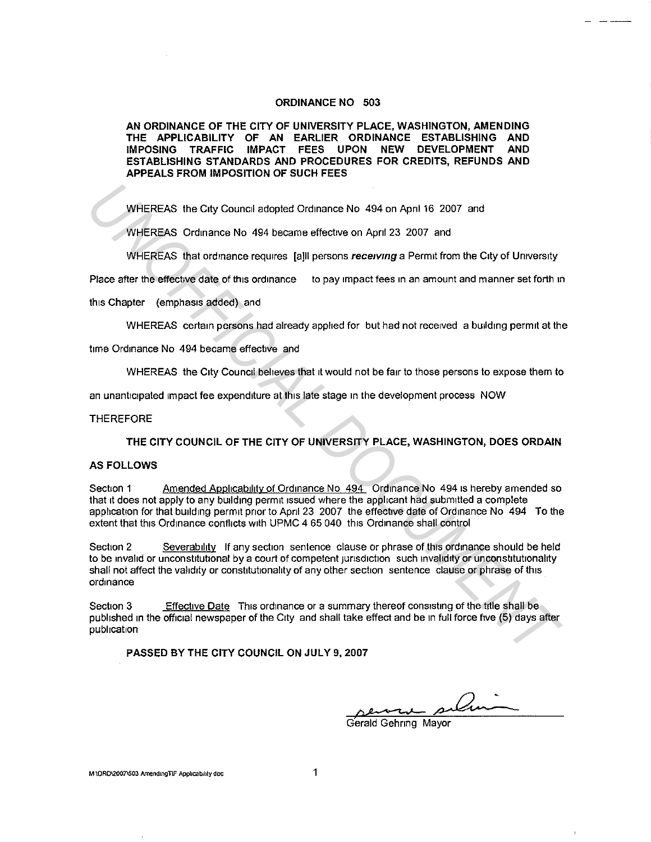## **ORDINANCE NO 503**

**AN ORDINANCE OF THE CITY OF UNIVERSITY PLACE, WASHINGTON, AMENDING THE APPLICABILITY OF AN EARLIER ORDINANCE ESTABLISHING AND IMPOSING TRAFFIC IMPACT FEES UPON NEW DEVELOPMENT AND ESTABLISHING STANDARDS AND PROCEDURES FOR CREDITS, REFUNDS AND APPEALS FROM IMPOSITION OF SUCH FEES** 

WHEREAS the City Council adopted Ordinance No 494 on April 16 2007 and

WHEREAS Ordinance No 494 became effective on Apnl 23 2007 and

WHEREAS that ordinance requires [a]ll persons *receiving* a Permit from the City of University

Place after the effective date of this ordinance to pay impact fees in an amount and manner set forth in

this Chapter (emphasis added) and

WHEREAS certain persons had already applied for but had not received a building permit at the

time Ordinance No 494 became effective and

WHEREAS the City Council believes that it would not be fair to those persons to expose them to

an unanticipated impact fee expenditure at this late stage in the development process NOW

**THEREFORE** 

**THE CITY COUNCIL OF THE CITY OF UNIVERSITY PLACE, WASHINGTON, DOES ORDAIN** 

## **AS FOLLOWS**

Section 1 Amended Applicability of Ordinance No. 494 Ordinance No. 494 is hereby amended so that 1t does not apply to any building permit issued where the applicant had submitted a complete application for that building permit prior to April 23 2007 the effective date of Ordinance No 494 To the extent that this Ordinance conflicts with UPMC 4 65 040 this Ordinance shall control

Section 2 Severability If any section sentence clause or phrase of this ordinance should be held to be invalid or unconstitutional by a court of competent jurisdiction such invalidity or unconstitutionality shall not affect the validity or constitutionality of any other section sentence clause or phrase of this ordinance WHEREAS the City Council adopted Ordinance No. 494 on April 16 2007 and<br>
WHEREAS Ordinance No. 494 became effective on April 23 2007 and<br>
WHEREAS Dordinance requires [a]ll persons receiving a Permit from the City of Univer

Section 3 Effective Date This ordinance or a summary thereof consisting of the title shall be published in the official newspaper of the City and shall take effect and be in full force five (5) days after publication

**PASSED BY THE CITY COUNCIL ON JULY 9, 2007** 

Gerald Gehring Mayor

**M \ORD\2007\503 AmendmgTIF Applicability doc** 1